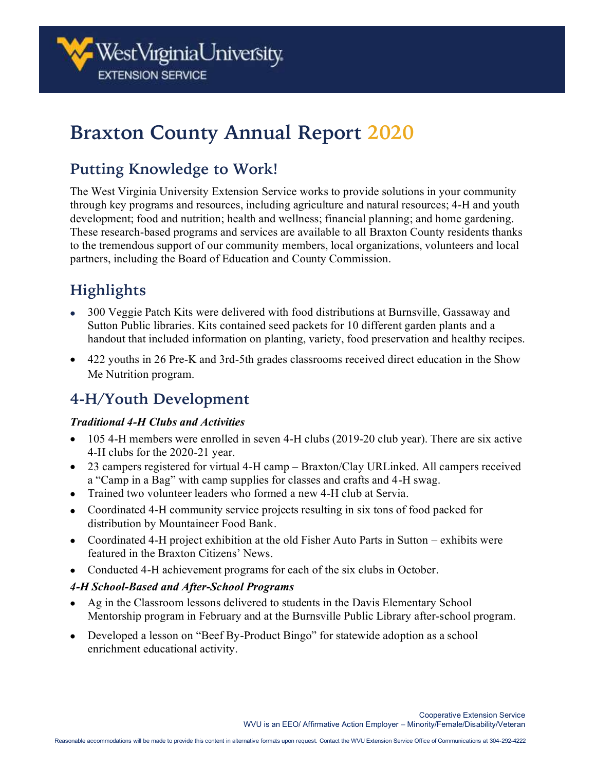# **Braxton County Annual Report 2020**

# **Putting Knowledge to Work!**

The West Virginia University Extension Service works to provide solutions in your community through key programs and resources, including agriculture and natural resources; 4-H and youth development; food and nutrition; health and wellness; financial planning; and home gardening. These research-based programs and services are available to all Braxton County residents thanks to the tremendous support of our community members, local organizations, volunteers and local partners, including the Board of Education and County Commission.

# **Highlights**

- 300 Veggie Patch Kits were delivered with food distributions at Burnsville, Gassaway and Sutton Public libraries. Kits contained seed packets for 10 different garden plants and a handout that included information on planting, variety, food preservation and healthy recipes.
- 422 youths in 26 Pre-K and 3rd-5th grades classrooms received direct education in the Show Me Nutrition program.

# **4-H/Youth Development**

### *Traditional 4-H Clubs and Activities*

- 105 4-H members were enrolled in seven 4-H clubs (2019-20 club year). There are six active 4-H clubs for the 2020-21 year.
- 23 campers registered for virtual 4-H camp Braxton/Clay URLinked. All campers received a "Camp in a Bag" with camp supplies for classes and crafts and 4-H swag.
- Trained two volunteer leaders who formed a new 4-H club at Servia.
- Coordinated 4-H community service projects resulting in six tons of food packed for distribution by Mountaineer Food Bank.
- Coordinated 4-H project exhibition at the old Fisher Auto Parts in Sutton exhibits were featured in the Braxton Citizens' News.
- Conducted 4-H achievement programs for each of the six clubs in October.

### *4-H School-Based and After-School Programs*

- Ag in the Classroom lessons delivered to students in the Davis Elementary School Mentorship program in February and at the Burnsville Public Library after-school program.
- Developed a lesson on "Beef By-Product Bingo" for statewide adoption as a school enrichment educational activity.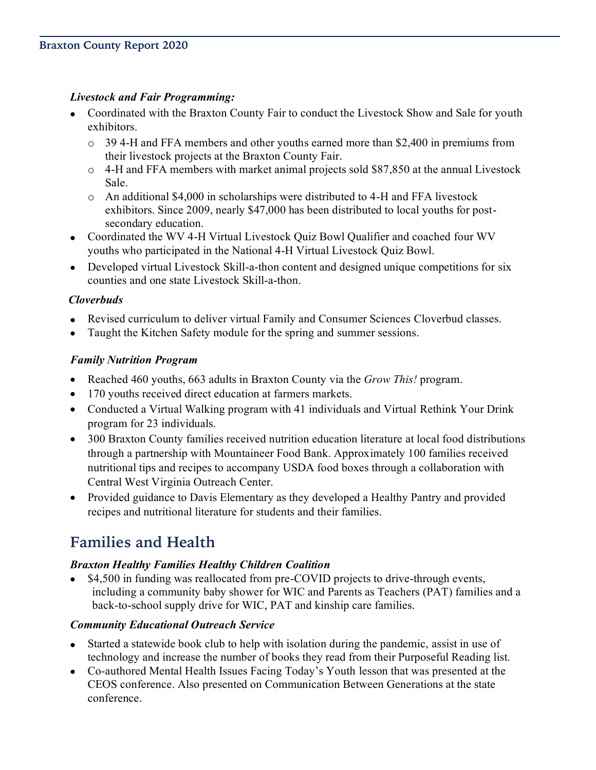### *Livestock and Fair Programming:*

- Coordinated with the Braxton County Fair to conduct the Livestock Show and Sale for youth exhibitors.
	- $\circ$  39 4-H and FFA members and other youths earned more than \$2,400 in premiums from their livestock projects at the Braxton County Fair.
	- o 4-H and FFA members with market animal projects sold \$87,850 at the annual Livestock Sale.
	- $\circ$  An additional \$4,000 in scholarships were distributed to 4-H and FFA livestock exhibitors. Since 2009, nearly \$47,000 has been distributed to local youths for postsecondary education.
- Coordinated the WV 4-H Virtual Livestock Quiz Bowl Qualifier and coached four WV youths who participated in the National 4-H Virtual Livestock Quiz Bowl.
- Developed virtual Livestock Skill-a-thon content and designed unique competitions for six counties and one state Livestock Skill-a-thon.

### *Cloverbuds*

- Revised curriculum to deliver virtual Family and Consumer Sciences Cloverbud classes.
- Taught the Kitchen Safety module for the spring and summer sessions.

### *Family Nutrition Program*

- Reached 460 youths, 663 adults in Braxton County via the *Grow This!* program.
- 170 youths received direct education at farmers markets.
- Conducted a Virtual Walking program with 41 individuals and Virtual Rethink Your Drink program for 23 individuals.
- 300 Braxton County families received nutrition education literature at local food distributions through a partnership with Mountaineer Food Bank. Approximately 100 families received nutritional tips and recipes to accompany USDA food boxes through a collaboration with Central West Virginia Outreach Center.
- Provided guidance to Davis Elementary as they developed a Healthy Pantry and provided recipes and nutritional literature for students and their families.

# **Families and Health**

### *Braxton Healthy Families Healthy Children Coalition*

• \$4,500 in funding was reallocated from pre-COVID projects to drive-through events, including a community baby shower for WIC and Parents as Teachers (PAT) families and a back-to-school supply drive for WIC, PAT and kinship care families.

### *Community Educational Outreach Service*

- Started a statewide book club to help with isolation during the pandemic, assist in use of technology and increase the number of books they read from their Purposeful Reading list.
- Co-authored Mental Health Issues Facing Today's Youth lesson that was presented at the CEOS conference. Also presented on Communication Between Generations at the state conference.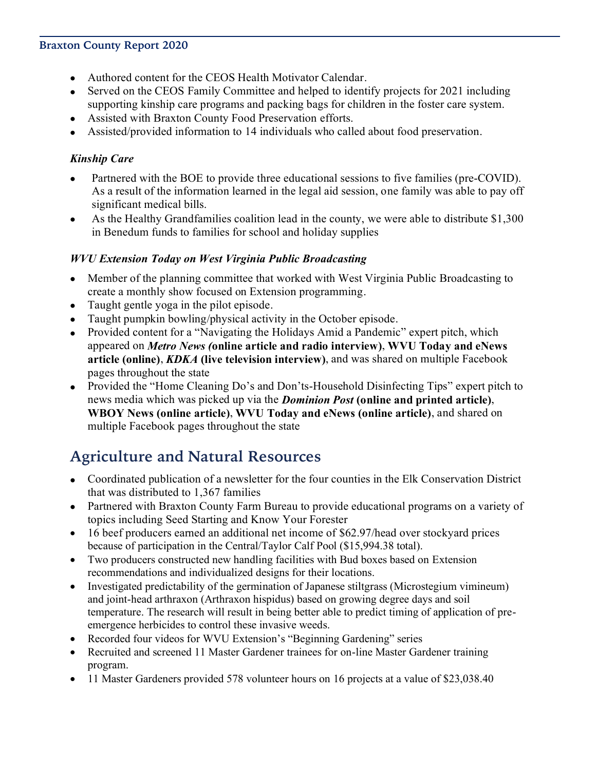#### **Braxton County Report 2020**

- Authored content for the CEOS Health Motivator Calendar.
- Served on the CEOS Family Committee and helped to identify projects for 2021 including supporting kinship care programs and packing bags for children in the foster care system.
- Assisted with Braxton County Food Preservation efforts.
- Assisted/provided information to 14 individuals who called about food preservation.

#### *Kinship Care*

- Partnered with the BOE to provide three educational sessions to five families (pre-COVID). As a result of the information learned in the legal aid session, one family was able to pay off significant medical bills.
- As the Healthy Grandfamilies coalition lead in the county, we were able to distribute \$1,300 in Benedum funds to families for school and holiday supplies

#### *WVU Extension Today on West Virginia Public Broadcasting*

- Member of the planning committee that worked with West Virginia Public Broadcasting to create a monthly show focused on Extension programming.
- Taught gentle yoga in the pilot episode.
- Taught pumpkin bowling/physical activity in the October episode.
- Provided content for a "Navigating the Holidays Amid a Pandemic" expert pitch, which appeared on *Metro News (***online article and radio interview)**, **WVU Today and eNews article (online)**, *KDKA* **(live television interview)**, and was shared on multiple Facebook pages throughout the state
- Provided the "Home Cleaning Do's and Don'ts-Household Disinfecting Tips" expert pitch to news media which was picked up via the *Dominion Post* **(online and printed article)**, **WBOY News (online article)**, **WVU Today and eNews (online article)**, and shared on multiple Facebook pages throughout the state

### **Agriculture and Natural Resources**

- Coordinated publication of a newsletter for the four counties in the Elk Conservation District that was distributed to 1,367 families
- Partnered with Braxton County Farm Bureau to provide educational programs on a variety of topics including Seed Starting and Know Your Forester
- 16 beef producers earned an additional net income of \$62.97/head over stockyard prices because of participation in the Central/Taylor Calf Pool (\$15,994.38 total).
- Two producers constructed new handling facilities with Bud boxes based on Extension recommendations and individualized designs for their locations.
- Investigated predictability of the germination of Japanese stiltgrass (Microstegium vimineum) and joint-head arthraxon (Arthraxon hispidus) based on growing degree days and soil temperature. The research will result in being better able to predict timing of application of preemergence herbicides to control these invasive weeds.
- Recorded four videos for WVU Extension's "Beginning Gardening" series
- Recruited and screened 11 Master Gardener trainees for on-line Master Gardener training program.
- 11 Master Gardeners provided 578 volunteer hours on 16 projects at a value of \$23,038.40